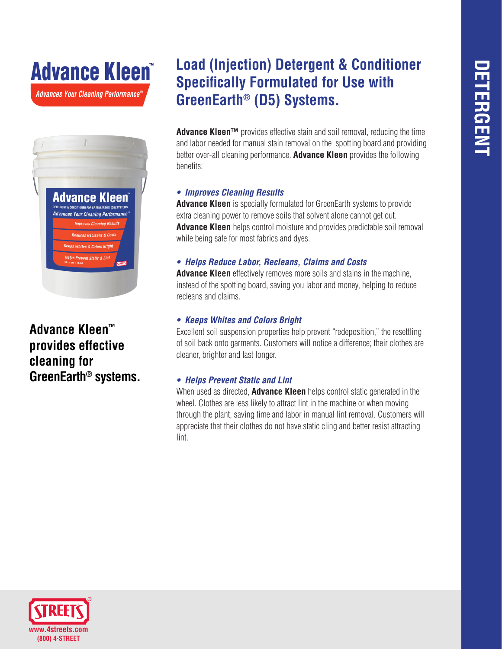# *Advances Your Cleaning Performance™* Advance Kleen



**Advance Kleen™ provides effective cleaning for GreenEarth® systems.**

## **Load (Injection) Detergent & Conditioner Specifically Formulated for Use with GreenEarth® (D5) Systems.**

**Advance Kleen™** provides effective stain and soil removal, reducing the time and labor needed for manual stain removal on the spotting board and providing better over-all cleaning performance. **Advance Kleen** provides the following benefits:

#### *• Improves Cleaning Results*

**Advance Kleen** is specially formulated for GreenEarth systems to provide extra cleaning power to remove soils that solvent alone cannot get out. **Advance Kleen** helps control moisture and provides predictable soil removal while being safe for most fabrics and dyes.

#### *• Helps Reduce Labor, Recleans, Claims and Costs*

**Advance Kleen** effectively removes more soils and stains in the machine, instead of the spotting board, saving you labor and money, helping to reduce recleans and claims.

#### *• Keeps Whites and Colors Bright*

Excellent soil suspension properties help prevent "redeposition," the resettling of soil back onto garments. Customers will notice a difference; their clothes are cleaner, brighter and last longer.

### *• Helps Prevent Static and Lint*

When used as directed, **Advance Kleen** helps control static generated in the wheel. Clothes are less likely to attract lint in the machine or when moving through the plant, saving time and labor in manual lint removal. Customers will appreciate that their clothes do not have static cling and better resist attracting lint.